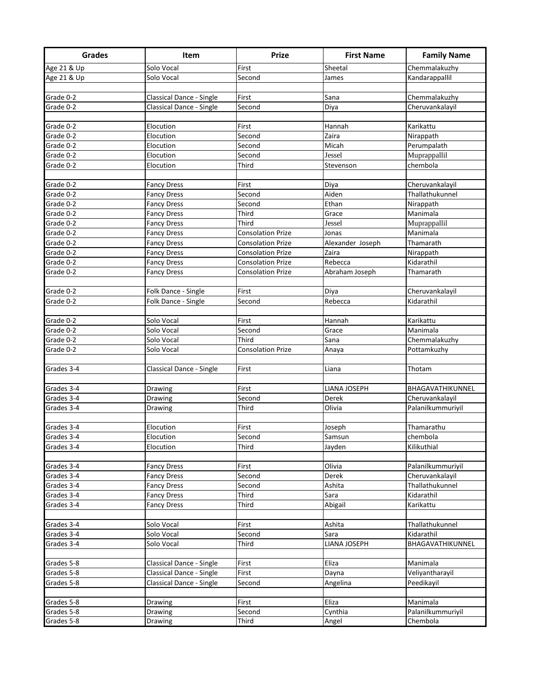| <b>Grades</b> | Item                     | <b>Prize</b>             | <b>First Name</b> | <b>Family Name</b>            |
|---------------|--------------------------|--------------------------|-------------------|-------------------------------|
| Age 21 & Up   | Solo Vocal               | First                    | Sheetal           | Chemmalakuzhy                 |
| Age 21 & Up   | Solo Vocal               | Second                   | James             | Kandarappallil                |
|               |                          |                          |                   |                               |
| Grade 0-2     | Classical Dance - Single | First                    | Sana              | Chemmalakuzhy                 |
| Grade 0-2     | Classical Dance - Single | Second                   | Diya              | Cheruvankalayil               |
|               |                          |                          |                   |                               |
| Grade 0-2     | Elocution                | First                    | Hannah            | Karikattu                     |
| Grade 0-2     | Elocution                | Second                   | Zaira             | Nirappath                     |
| Grade 0-2     | Elocution                | Second                   | Micah             | Perumpalath                   |
| Grade 0-2     | Elocution                | Second                   | Jessel            | Muprappallil                  |
| Grade 0-2     | Elocution                | Third                    | Stevenson         | chembola                      |
|               |                          |                          |                   |                               |
| Grade 0-2     | <b>Fancy Dress</b>       | First                    | Diya              | Cheruvankalayil               |
| Grade 0-2     | <b>Fancy Dress</b>       | Second                   | Aiden             | Thallathukunnel               |
| Grade 0-2     | <b>Fancy Dress</b>       | Second                   | Ethan             | Nirappath                     |
| Grade 0-2     | <b>Fancy Dress</b>       | Third                    | Grace             | Manimala                      |
| Grade 0-2     | <b>Fancy Dress</b>       | Third                    | Jessel            | Muprappallil                  |
| Grade 0-2     | <b>Fancy Dress</b>       | <b>Consolation Prize</b> | Jonas             | Manimala                      |
| Grade 0-2     | <b>Fancy Dress</b>       | <b>Consolation Prize</b> | Alexander Joseph  | Thamarath                     |
| Grade 0-2     | <b>Fancy Dress</b>       | <b>Consolation Prize</b> | Zaira             | Nirappath                     |
| Grade 0-2     | <b>Fancy Dress</b>       | <b>Consolation Prize</b> | Rebecca           | Kidarathil                    |
| Grade 0-2     | <b>Fancy Dress</b>       | <b>Consolation Prize</b> | Abraham Joseph    | Thamarath                     |
| Grade 0-2     |                          | First                    |                   |                               |
| Grade 0-2     | Folk Dance - Single      |                          | Diya              | Cheruvankalayil<br>Kidarathil |
|               | Folk Dance - Single      | Second                   | Rebecca           |                               |
| Grade 0-2     | Solo Vocal               | First                    | Hannah            | Karikattu                     |
| Grade 0-2     | Solo Vocal               | Second                   | Grace             | Manimala                      |
| Grade 0-2     | Solo Vocal               | Third                    | Sana              | Chemmalakuzhy                 |
| Grade 0-2     | Solo Vocal               | <b>Consolation Prize</b> | Anaya             | Pottamkuzhy                   |
|               |                          |                          |                   |                               |
| Grades 3-4    | Classical Dance - Single | First                    | Liana             | Thotam                        |
|               |                          |                          |                   |                               |
| Grades 3-4    | Drawing                  | First                    | LIANA JOSEPH      | BHAGAVATHIKUNNEL              |
| Grades 3-4    | Drawing                  | Second                   | Derek             | Cheruvankalayil               |
| Grades 3-4    | Drawing                  | Third                    | Olivia            | Palanilkummuriyil             |
|               |                          |                          |                   |                               |
| Grades 3-4    | Elocution                | First                    | Joseph            | Thamarathu                    |
| Grades 3-4    | Elocution                | Second                   | Samsun            | chembola                      |
| Grades 3-4    | Elocution                | Third                    | Jayden            | Kilikuthial                   |
|               |                          |                          |                   |                               |
| Grades 3-4    | <b>Fancy Dress</b>       | First                    | Olivia            | Palanilkummuriyil             |
| Grades 3-4    | <b>Fancy Dress</b>       | Second                   | Derek             | Cheruvankalayil               |
| Grades 3-4    | <b>Fancy Dress</b>       | Second                   | Ashita            | Thallathukunnel               |
| Grades 3-4    | <b>Fancy Dress</b>       | Third                    | Sara              | Kidarathil                    |
| Grades 3-4    | <b>Fancy Dress</b>       | Third                    | Abigail           | Karikattu                     |
|               |                          |                          |                   |                               |
| Grades 3-4    | Solo Vocal               | First                    | Ashita            | Thallathukunnel               |
| Grades 3-4    | Solo Vocal               | Second                   | Sara              | Kidarathil                    |
| Grades 3-4    | Solo Vocal               | Third                    | LIANA JOSEPH      | BHAGAVATHIKUNNEL              |
|               |                          |                          |                   |                               |
| Grades 5-8    | Classical Dance - Single | First                    | Eliza             | Manimala                      |
| Grades 5-8    | Classical Dance - Single | First                    | Dayna             | Veliyantharayil               |
| Grades 5-8    | Classical Dance - Single | Second                   | Angelina          | Peedikayil                    |
|               |                          |                          |                   |                               |
| Grades 5-8    | Drawing                  | First                    | Eliza             | Manimala                      |
| Grades 5-8    | Drawing                  | Second                   | Cynthia           | Palanilkummuriyil             |
| Grades 5-8    | Drawing                  | Third                    | Angel             | Chembola                      |